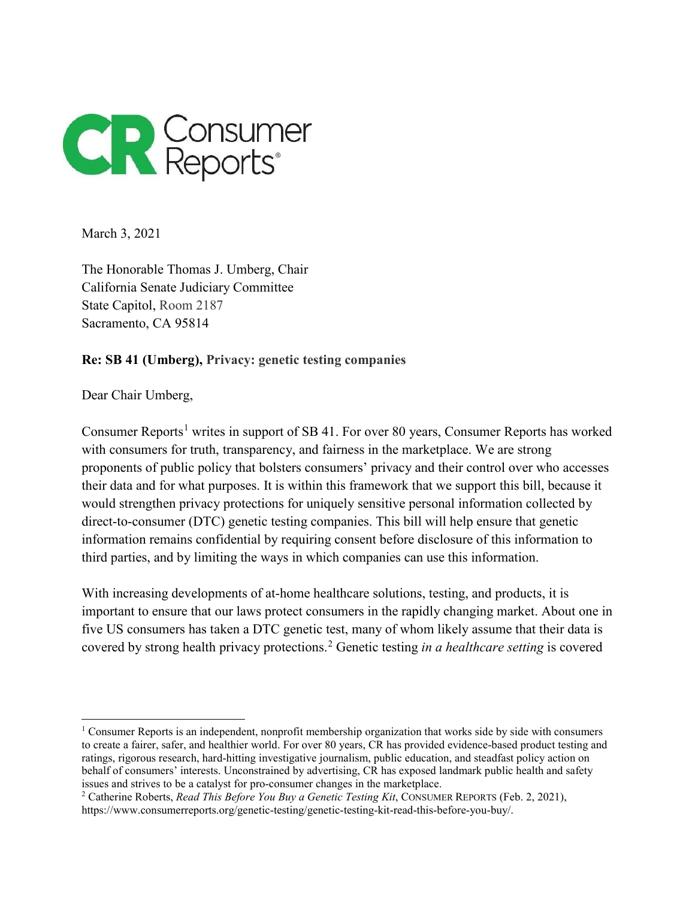

March 3, 2021

The Honorable Thomas J. Umberg, Chair California Senate Judiciary Committee State Capitol, Room 2187 Sacramento, CA 95814

**Re: SB 41 (Umberg), Privacy: genetic testing companies**

Dear Chair Umberg,

 $\overline{a}$ 

Consumer Reports<sup>[1](#page-0-0)</sup> writes in support of SB 41. For over 80 years, Consumer Reports has worked with consumers for truth, transparency, and fairness in the marketplace. We are strong proponents of public policy that bolsters consumers' privacy and their control over who accesses their data and for what purposes. It is within this framework that we support this bill, because it would strengthen privacy protections for uniquely sensitive personal information collected by direct-to-consumer (DTC) genetic testing companies. This bill will help ensure that genetic information remains confidential by requiring consent before disclosure of this information to third parties, and by limiting the ways in which companies can use this information.

With increasing developments of at-home healthcare solutions, testing, and products, it is important to ensure that our laws protect consumers in the rapidly changing market. About one in five US consumers has taken a DTC genetic test, many of whom likely assume that their data is covered by strong health privacy protections.[2](#page-0-1) Genetic testing *in a healthcare setting* is covered

<span id="page-0-0"></span><sup>&</sup>lt;sup>1</sup> Consumer Reports is an independent, nonprofit membership organization that works side by side with consumers to create a fairer, safer, and healthier world. For over 80 years, CR has provided evidence-based product testing and ratings, rigorous research, hard-hitting investigative journalism, public education, and steadfast policy action on behalf of consumers' interests. Unconstrained by advertising, CR has exposed landmark public health and safety issues and strives to be a catalyst for pro-consumer changes in the marketplace.

<span id="page-0-1"></span><sup>2</sup> Catherine Roberts, *Read This Before You Buy a Genetic Testing Kit*, CONSUMER REPORTS (Feb. 2, 2021), https://www.consumerreports.org/genetic-testing/genetic-testing-kit-read-this-before-you-buy/.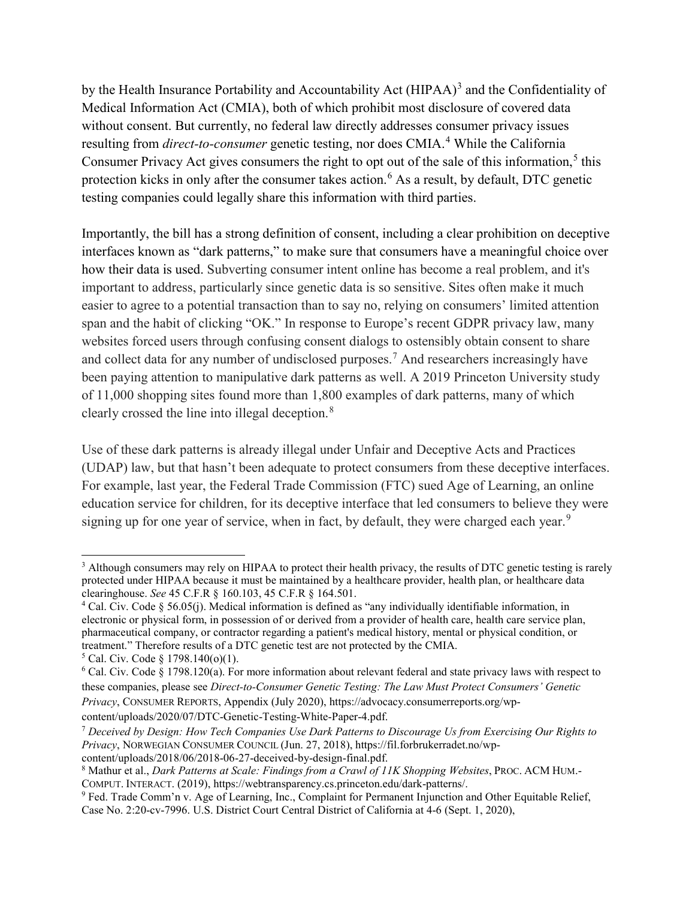by the Health Insurance Portability and Accountability Act (HIPAA)<sup>[3](#page-1-0)</sup> and the Confidentiality of Medical Information Act (CMIA), both of which prohibit most disclosure of covered data without consent. But currently, no federal law directly addresses consumer privacy issues resulting from *direct-to-consumer* genetic testing, nor does CMIA.<sup>[4](#page-1-1)</sup> While the California Consumer Privacy Act gives consumers the right to opt out of the sale of this information, $<sup>5</sup>$  $<sup>5</sup>$  $<sup>5</sup>$  this</sup> protection kicks in only after the consumer takes action.<sup>[6](#page-1-3)</sup> As a result, by default, DTC genetic testing companies could legally share this information with third parties.

Importantly, the bill has a strong definition of consent, including a clear prohibition on deceptive interfaces known as "dark patterns," to make sure that consumers have a meaningful choice over how their data is used. Subverting consumer intent online has become a real problem, and it's important to address, particularly since genetic data is so sensitive. Sites often make it much easier to agree to a potential transaction than to say no, relying on consumers' limited attention span and the habit of clicking "OK." In response to Europe's recent GDPR privacy law, many websites forced users through confusing consent dialogs to ostensibly obtain consent to share and collect data for any number of undisclosed purposes.<sup>[7](#page-1-4)</sup> And researchers increasingly have been paying attention to manipulative dark patterns as well. A 2019 Princeton University study of 11,000 shopping sites found more than 1,800 examples of dark patterns, many of which clearly crossed the line into illegal deception.[8](#page-1-5)

Use of these dark patterns is already illegal under Unfair and Deceptive Acts and Practices (UDAP) law, but that hasn't been adequate to protect consumers from these deceptive interfaces. For example, last year, the Federal Trade Commission (FTC) sued Age of Learning, an online education service for children, for its deceptive interface that led consumers to believe they were signing up for one year of service, when in fact, by default, they were charged each year.<sup>[9](#page-1-6)</sup>

 $\overline{a}$ 

<span id="page-1-0"></span><sup>&</sup>lt;sup>3</sup> Although consumers may rely on HIPAA to protect their health privacy, the results of DTC genetic testing is rarely protected under HIPAA because it must be maintained by a healthcare provider, health plan, or healthcare data clearinghouse. *See* 45 C.F.R § 160.103, 45 C.F.R § 164.501.

<span id="page-1-1"></span><sup>4</sup> Cal. Civ. Code § 56.05(j). Medical information is defined as "any individually identifiable information, in electronic or physical form, in possession of or derived from a provider of health care, health care service plan, pharmaceutical company, or contractor regarding a patient's medical history, mental or physical condition, or treatment." Therefore results of a DTC genetic test are not protected by the CMIA.

<span id="page-1-2"></span> $5$  Cal. Civ. Code § 1798.140(o)(1).

<span id="page-1-3"></span><sup>6</sup> Cal. Civ. Code § 1798.120(a). For more information about relevant federal and state privacy laws with respect to these companies, please see *Direct-to-Consumer Genetic Testing: The Law Must Protect Consumers' Genetic Privacy*, CONSUMER REPORTS, Appendix (July 2020), [https://advocacy.consumerreports.org/wp-](https://advocacy.consumerreports.org/wp-content/uploads/2020/07/DTC-Genetic-Testing-White-Paper-4.pdf)

[content/uploads/2020/07/DTC-Genetic-Testing-White-Paper-4.pdf.](https://advocacy.consumerreports.org/wp-content/uploads/2020/07/DTC-Genetic-Testing-White-Paper-4.pdf)

<span id="page-1-4"></span><sup>7</sup> *Deceived by Design: How Tech Companies Use Dark Patterns to Discourage Us from Exercising Our Rights to Privacy*, NORWEGIAN CONSUMER COUNCIL (Jun. 27, 2018), [https://fil.forbrukerradet.no/wp](https://fil.forbrukerradet.no/wp-content/uploads/2018/06/2018-06-27-deceived-by-design-final.pdf)[content/uploads/2018/06/2018-06-27-deceived-by-design-final.pdf.](https://fil.forbrukerradet.no/wp-content/uploads/2018/06/2018-06-27-deceived-by-design-final.pdf)

<span id="page-1-5"></span><sup>8</sup> Mathur et al., *Dark Patterns at Scale: Findings from a Crawl of 11K Shopping Websites*, PROC. ACM HUM.- COMPUT. INTERACT. (2019), [https://webtransparency.cs.princeton.edu/dark-patterns/.](https://webtransparency.cs.princeton.edu/dark-patterns/)

<span id="page-1-6"></span><sup>9</sup> Fed. Trade Comm'n v. Age of Learning, Inc., Complaint for Permanent Injunction and Other Equitable Relief, Case No. 2:20-cv-7996. U.S. District Court Central District of California at 4-6 (Sept. 1, 2020),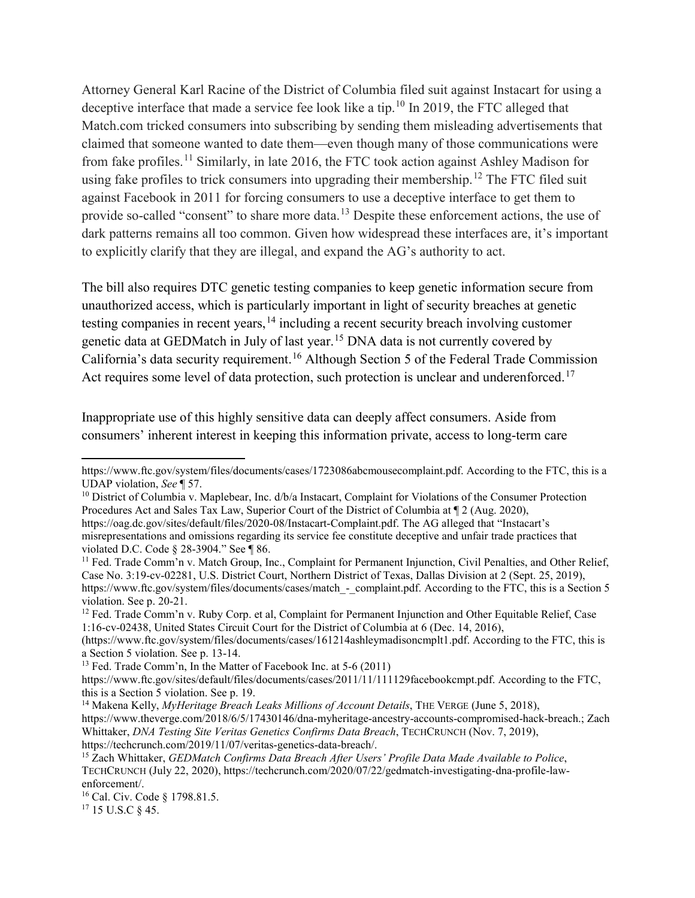Attorney General Karl Racine of the District of Columbia filed suit against Instacart for using a deceptive interface that made a service fee look like a tip.<sup>[10](#page-2-0)</sup> In 2019, the FTC alleged that Match.com tricked consumers into subscribing by sending them misleading advertisements that claimed that someone wanted to date them—even though many of those communications were from fake profiles.[11](#page-2-1) Similarly, in late 2016, the FTC took action against Ashley Madison for using fake profiles to trick consumers into upgrading their membership.<sup>[12](#page-2-2)</sup> The FTC filed suit against Facebook in 2011 for forcing consumers to use a deceptive interface to get them to provide so-called "consent" to share more data.<sup>[13](#page-2-3)</sup> Despite these enforcement actions, the use of dark patterns remains all too common. Given how widespread these interfaces are, it's important to explicitly clarify that they are illegal, and expand the AG's authority to act.

The bill also requires DTC genetic testing companies to keep genetic information secure from unauthorized access, which is particularly important in light of security breaches at genetic testing companies in recent years,<sup>[14](#page-2-4)</sup> including a recent security breach involving customer genetic data at GEDMatch in July of last year.[15](#page-2-5) DNA data is not currently covered by California's data security requirement.<sup>[16](#page-2-6)</sup> Although Section 5 of the Federal Trade Commission Act requires some level of data protection, such protection is unclear and underenforced.<sup>[17](#page-2-7)</sup>

Inappropriate use of this highly sensitive data can deeply affect consumers. Aside from consumers' inherent interest in keeping this information private, access to long-term care

<span id="page-2-7"></span><sup>17</sup> 15 U.S.C § 45.

 $\overline{a}$ 

[https://www.ftc.gov/system/files/documents/cases/1723086abcmousecomplaint.pdf.](https://www.ftc.gov/system/files/documents/cases/1723086abcmousecomplaint.pdf) According to the FTC, this is a UDAP violation, *See* ¶ 57.

<span id="page-2-0"></span> $10$  District of Columbia v. Maplebear, Inc. d/b/a Instacart, Complaint for Violations of the Consumer Protection Procedures Act and Sales Tax Law, Superior Court of the District of Columbia at ¶ 2 (Aug. 2020), [https://oag.dc.gov/sites/default/files/2020-08/Instacart-Complaint.pdf.](https://oag.dc.gov/sites/default/files/2020-08/Instacart-Complaint.pdf) The AG alleged that "Instacart's

misrepresentations and omissions regarding its service fee constitute deceptive and unfair trade practices that violated D.C. Code § 28-3904." See ¶ 86.<br><sup>11</sup> Fed. Trade Comm'n v. Match Group, Inc., Complaint for Permanent Injunction, Civil Penalties, and Other Relief,

<span id="page-2-1"></span>Case No. 3:19-cv-02281, U.S. District Court, Northern District of Texas, Dallas Division at 2 (Sept. 25, 2019[\),](https://www.ftc.gov/system/files/documents/cases/match_-_complaint.pdf) [https://www.ftc.gov/system/files/documents/cases/match\\_-\\_complaint.pdf.](https://www.ftc.gov/system/files/documents/cases/match_-_complaint.pdf) According to the FTC, this is a Section 5 violation. See p. 20-21.

<span id="page-2-2"></span><sup>&</sup>lt;sup>12</sup> Fed. Trade Comm'n v. Ruby Corp. et al, Complaint for Permanent Injunction and Other Equitable Relief, Case 1:16-cv-02438, United States Circuit Court for the District of Columbia at 6 (Dec. 14, 2016),

[<sup>\(</sup>https://www.ftc.gov/system/files/documents/cases/161214ashleymadisoncmplt1.pdf.](https://www.ftc.gov/system/files/documents/cases/161214ashleymadisoncmplt1.pdf) According to the FTC, this is a Section 5 violation. See p. 13-14.

<span id="page-2-3"></span><sup>13</sup> Fed. Trade Comm'n, In the Matter of Facebook Inc. at 5-6 (2011)

[https://www.ftc.gov/sites/default/files/documents/cases/2011/11/111129facebookcmpt.pdf.](https://www.ftc.gov/sites/default/files/documents/cases/2011/11/111129facebookcmpt.pdf) According to the FTC, this is a Section 5 violation. See p. 19.

<span id="page-2-4"></span><sup>&</sup>lt;sup>14</sup> Makena Kelly, *MyHeritage Breach Leaks Millions of Account Details*, THE VERGE (June 5, 2018), [https://www.theverge.com/2018/6/5/17430146/dna-myheritage-ancestry-accounts-compromised-hack-breach.](https://www.theverge.com/2018/6/5/17430146/dna-myheritage-ancestry-accounts-compromised-hack-breach); Zach Whittaker, *DNA Testing Site Veritas Genetics Confirms Data Breach*, TECHCRUNCH (Nov. 7, 2019), [https://techcrunch.com/2019/11/07/veritas-genetics-data-breach/.](https://techcrunch.com/2019/11/07/veritas-genetics-data-breach/)

<span id="page-2-5"></span><sup>15</sup> Zach Whittaker, *GEDMatch Confirms Data Breach After Users' Profile Data Made Available to Police*, TECHCRUNCH (July 22, 2020), [https://techcrunch.com/2020/07/22/gedmatch-investigating-dna-profile-law](https://techcrunch.com/2020/07/22/gedmatch-investigating-dna-profile-law-enforcement/)[enforcement/.](https://techcrunch.com/2020/07/22/gedmatch-investigating-dna-profile-law-enforcement/)

<span id="page-2-6"></span><sup>16</sup> Cal. Civ. Code § 1798.81.5.